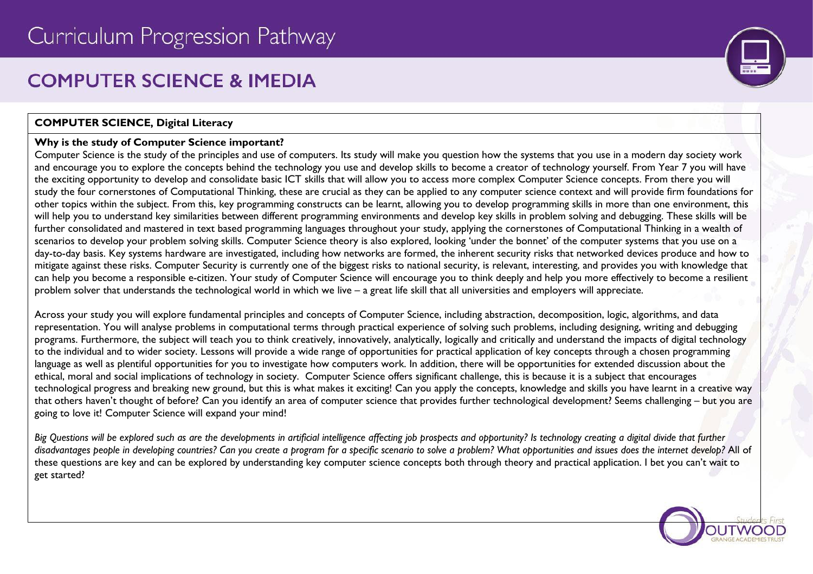# **COMPUTER SCIENCE & IMEDIA**

## **COMPUTER SCIENCE, Digital Literacy**

## **Why is the study of Computer Science important?**

Computer Science is the study of the principles and use of computers. Its study will make you question how the systems that you use in a modern day society work and encourage you to explore the concepts behind the technology you use and develop skills to become a creator of technology yourself. From Year 7 you will have the exciting opportunity to develop and consolidate basic ICT skills that will allow you to access more complex Computer Science concepts. From there you will study the four cornerstones of Computational Thinking, these are crucial as they can be applied to any computer science context and will provide firm foundations for other topics within the subject. From this, key programming constructs can be learnt, allowing you to develop programming skills in more than one environment, this will help you to understand key similarities between different programming environments and develop key skills in problem solving and debugging. These skills will be further consolidated and mastered in text based programming languages throughout your study, applying the cornerstones of Computational Thinking in a wealth of scenarios to develop your problem solving skills. Computer Science theory is also explored, looking 'under the bonnet' of the computer systems that you use on a day-to-day basis. Key systems hardware are investigated, including how networks are formed, the inherent security risks that networked devices produce and how to mitigate against these risks. Computer Security is currently one of the biggest risks to national security, is relevant, interesting, and provides you with knowledge that can help you become a responsible e-citizen. Your study of Computer Science will encourage you to think deeply and help you more effectively to become a resilient problem solver that understands the technological world in which we live – a great life skill that all universities and employers will appreciate.

Across your study you will explore fundamental principles and concepts of Computer Science, including abstraction, decomposition, logic, algorithms, and data representation. You will analyse problems in computational terms through practical experience of solving such problems, including designing, writing and debugging programs. Furthermore, the subject will teach you to think creatively, innovatively, analytically, logically and critically and understand the impacts of digital technology to the individual and to wider society. Lessons will provide a wide range of opportunities for practical application of key concepts through a chosen programming language as well as plentiful opportunities for you to investigate how computers work. In addition, there will be opportunities for extended discussion about the ethical, moral and social implications of technology in society. Computer Science offers significant challenge, this is because it is a subject that encourages technological progress and breaking new ground, but this is what makes it exciting! Can you apply the concepts, knowledge and skills you have learnt in a creative way that others haven't thought of before? Can you identify an area of computer science that provides further technological development? Seems challenging – but you are going to love it! Computer Science will expand your mind!

*Big Questions will be explored such as are the developments in artificial intelligence affecting job prospects and opportunity? Is technology creating a digital divide that further disadvantages people in developing countries? Can you create a program for a specific scenario to solve a problem? What opportunities and issues does the internet develop?* All of these questions are key and can be explored by understanding key computer science concepts both through theory and practical application. I bet you can't wait to get started?



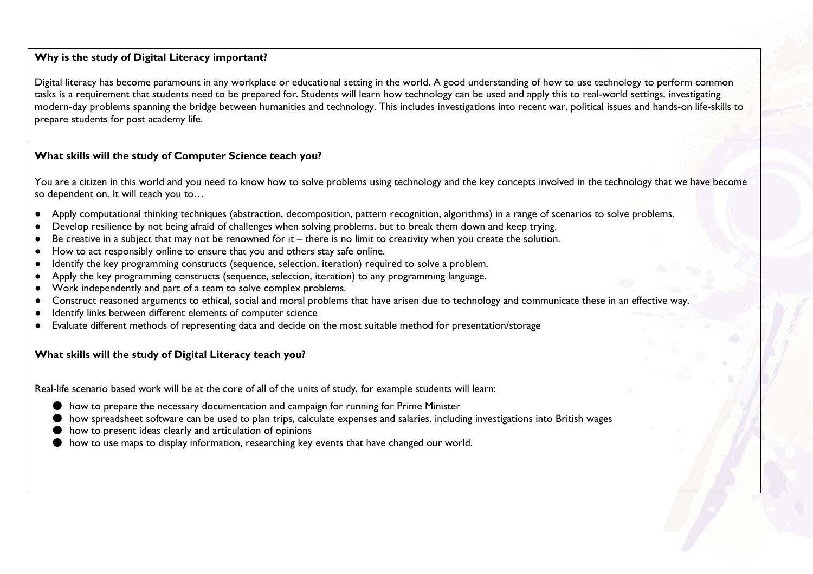## **Why is the study of Digital Literacy important?**

Digital literacy has become paramount in any workplace or educational setting in the world. A good understanding of how to use technology to perform common tasks is a requirement that students need to be prepared for. Students will learn how technology can be used and apply this to real-world settings, investigating modern-day problems spanning the bridge between humanities and technology. This includes investigations into recent war, political issues and hands-on life-skills to prepare students for post academy life.

## **What skills will the study of Computer Science teach you?**

You are a citizen in this world and you need to know how to solve problems using technology and the key concepts involved in the technology that we have become so dependent on. It will teach you to…

- Apply computational thinking techniques (abstraction, decomposition, pattern recognition, algorithms) in a range of scenarios to solve problems.
- Develop resilience by not being afraid of challenges when solving problems, but to break them down and keep trying.
- Be creative in a subject that may not be renowned for it there is no limit to creativity when you create the solution.
- How to act responsibly online to ensure that you and others stay safe online.
- Identify the key programming constructs (sequence, selection, iteration) required to solve a problem.
- Apply the key programming constructs (sequence, selection, iteration) to any programming language.
- Work independently and part of a team to solve complex problems.
- Construct reasoned arguments to ethical, social and moral problems that have arisen due to technology and communicate these in an effective way.
- Identify links between different elements of computer science
- Evaluate different methods of representing data and decide on the most suitable method for presentation/storage

#### **What skills will the study of Digital Literacy teach you?**

Real-life scenario based work will be at the core of all of the units of study, for example students will learn:

- how to prepare the necessary documentation and campaign for running for Prime Minister
- how spreadsheet software can be used to plan trips, calculate expenses and salaries, including investigations into British wages
- how to present ideas clearly and articulation of opinions
- how to use maps to display information, researching key events that have changed our world.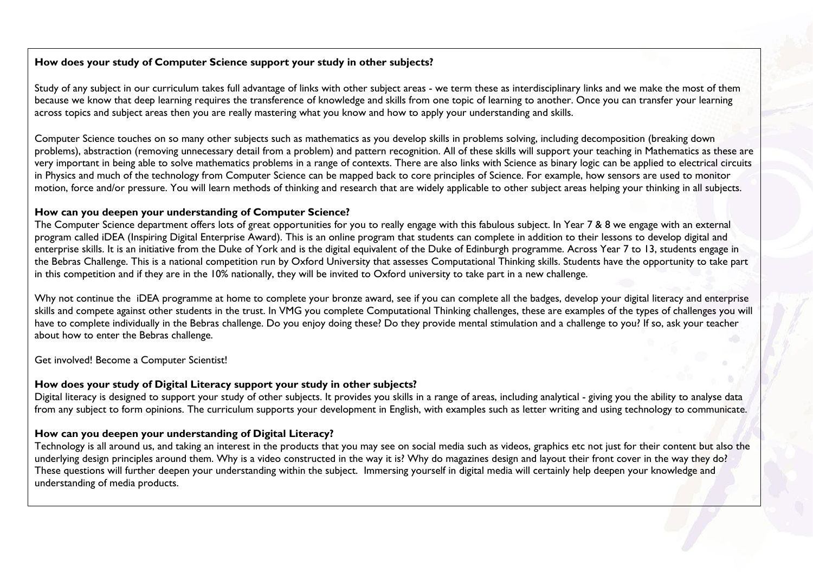# **How does your study of Computer Science support your study in other subjects?**

Study of any subject in our curriculum takes full advantage of links with other subject areas - we term these as interdisciplinary links and we make the most of them because we know that deep learning requires the transference of knowledge and skills from one topic of learning to another. Once you can transfer your learning across topics and subject areas then you are really mastering what you know and how to apply your understanding and skills.

Computer Science touches on so many other subjects such as mathematics as you develop skills in problems solving, including decomposition (breaking down problems), abstraction (removing unnecessary detail from a problem) and pattern recognition. All of these skills will support your teaching in Mathematics as these are very important in being able to solve mathematics problems in a range of contexts. There are also links with Science as binary logic can be applied to electrical circuits in Physics and much of the technology from Computer Science can be mapped back to core principles of Science. For example, how sensors are used to monitor motion, force and/or pressure. You will learn methods of thinking and research that are widely applicable to other subject areas helping your thinking in all subjects.

#### **How can you deepen your understanding of Computer Science?**

The Computer Science department offers lots of great opportunities for you to really engage with this fabulous subject. In Year 7 & 8 we engage with an external program called iDEA (Inspiring Digital Enterprise Award). This is an online program that students can complete in addition to their lessons to develop digital and enterprise skills. It is an initiative from the Duke of York and is the digital equivalent of the Duke of Edinburgh programme. Across Year 7 to 13, students engage in the Bebras Challenge. This is a national competition run by Oxford University that assesses Computational Thinking skills. Students have the opportunity to take part in this competition and if they are in the 10% nationally, they will be invited to Oxford university to take part in a new challenge.

Why not continue the iDEA programme at home to complete your bronze award, see if you can complete all the badges, develop your digital literacy and enterprise skills and compete against other students in the trust. In VMG you complete Computational Thinking challenges, these are examples of the types of challenges you will have to complete individually in the Bebras challenge. Do you enjoy doing these? Do they provide mental stimulation and a challenge to you? If so, ask your teacher about how to enter the Bebras challenge.

Get involved! Become a Computer Scientist!

#### **How does your study of Digital Literacy support your study in other subjects?**

Digital literacy is designed to support your study of other subjects. It provides you skills in a range of areas, including analytical - giving you the ability to analyse data from any subject to form opinions. The curriculum supports your development in English, with examples such as letter writing and using technology to communicate.

## **How can you deepen your understanding of Digital Literacy?**

Technology is all around us, and taking an interest in the products that you may see on social media such as videos, graphics etc not just for their content but also the underlying design principles around them. Why is a video constructed in the way it is? Why do magazines design and layout their front cover in the way they do? These questions will further deepen your understanding within the subject. Immersing yourself in digital media will certainly help deepen your knowledge and understanding of media products.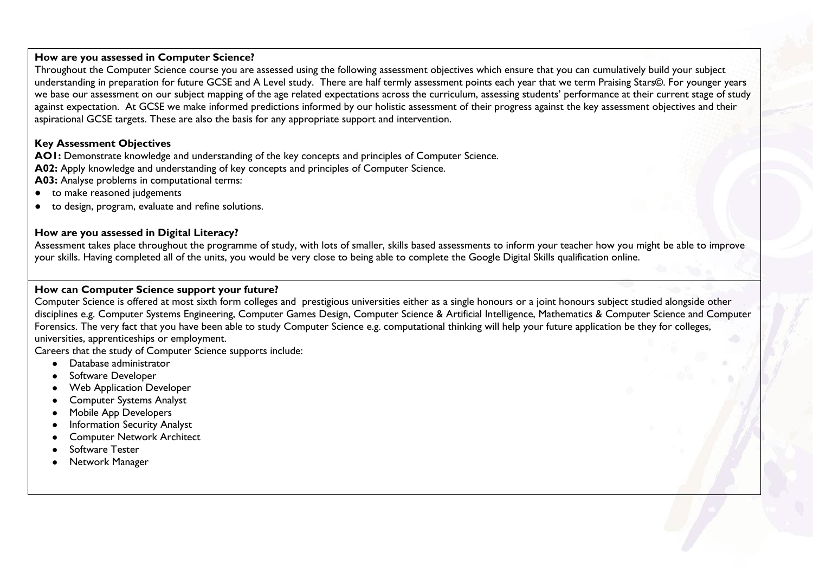#### **How are you assessed in Computer Science?**

Throughout the Computer Science course you are assessed using the following assessment objectives which ensure that you can cumulatively build your subject understanding in preparation for future GCSE and A Level study. There are half termly assessment points each year that we term Praising Stars©. For younger years we base our assessment on our subject mapping of the age related expectations across the curriculum, assessing students' performance at their current stage of study against expectation. At GCSE we make informed predictions informed by our holistic assessment of their progress against the key assessment objectives and their aspirational GCSE targets. These are also the basis for any appropriate support and intervention.

# **Key Assessment Objectives**

**AO1:** Demonstrate knowledge and understanding of the key concepts and principles of Computer Science. **A02:** Apply knowledge and understanding of key concepts and principles of Computer Science.

**A03:** Analyse problems in computational terms:

- to make reasoned judgements
- to design, program, evaluate and refine solutions.

## **How are you assessed in Digital Literacy?**

Assessment takes place throughout the programme of study, with lots of smaller, skills based assessments to inform your teacher how you might be able to improve your skills. Having completed all of the units, you would be very close to being able to complete the Google Digital Skills qualification online.

#### **How can Computer Science support your future?**

Computer Science is offered at most sixth form colleges and prestigious universities either as a single honours or a joint honours subject studied alongside other disciplines e.g. Computer Systems Engineering, Computer Games Design, Computer Science & Artificial Intelligence, Mathematics & Computer Science and Computer Forensics. The very fact that you have been able to study Computer Science e.g. computational thinking will help your future application be they for colleges, universities, apprenticeships or employment.

Careers that the study of Computer Science supports include:

- Database administrator
- Software Developer
- **Web Application Developer**
- **Computer Systems Analyst**
- Mobile App Developers
- **Information Security Analyst**
- **Computer Network Architect**
- Software Tester
- **Network Manager**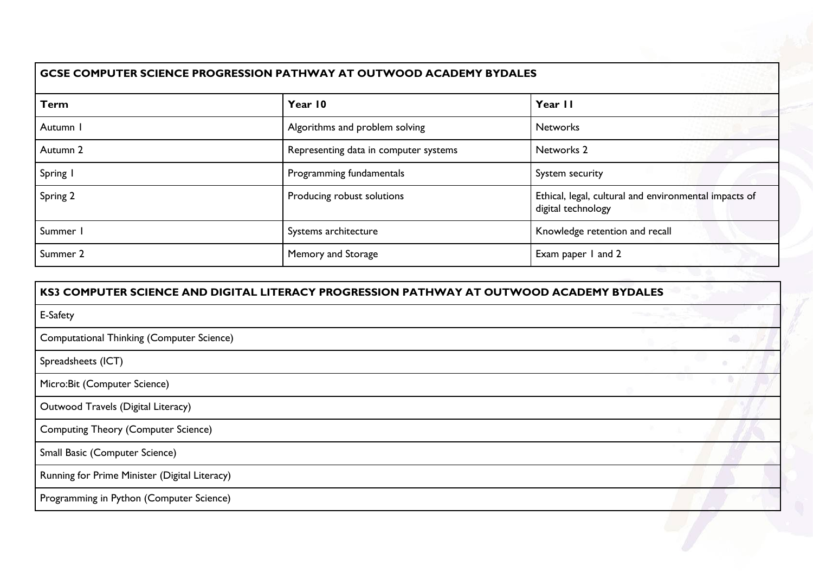| Algorithms and problem solving        | Year II                                                                     |
|---------------------------------------|-----------------------------------------------------------------------------|
|                                       |                                                                             |
|                                       | <b>Networks</b>                                                             |
| Representing data in computer systems | Networks 2                                                                  |
| Programming fundamentals              | System security                                                             |
| Producing robust solutions            | Ethical, legal, cultural and environmental impacts of<br>digital technology |
| Systems architecture                  | Knowledge retention and recall                                              |
|                                       | Exam paper I and 2                                                          |
|                                       | Memory and Storage                                                          |

| KS3 COMPUTER SCIENCE AND DIGITAL LITERACY PROGRESSION PATHWAY AT OUTWOOD ACADEMY BYDALES |  |
|------------------------------------------------------------------------------------------|--|
| E-Safety                                                                                 |  |
| Computational Thinking (Computer Science)                                                |  |
| Spreadsheets (ICT)                                                                       |  |
| Micro: Bit (Computer Science)                                                            |  |
| Outwood Travels (Digital Literacy)                                                       |  |
| <b>Computing Theory (Computer Science)</b>                                               |  |
| Small Basic (Computer Science)                                                           |  |
| Running for Prime Minister (Digital Literacy)                                            |  |
| Programming in Python (Computer Science)                                                 |  |